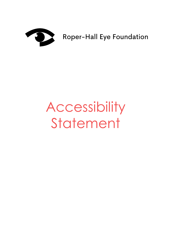

Roper-Hall Eye Foundation

## Accessibility Statement